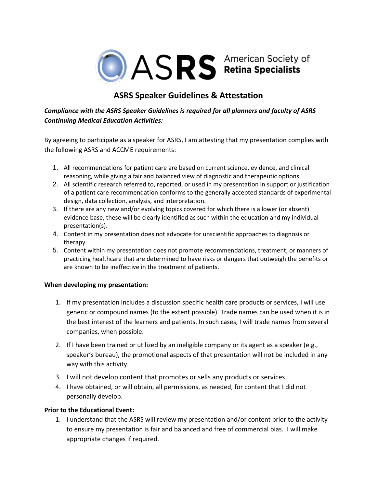

# **ASRS Speaker Guidelines & Attestation**

## *Compliance with the ASRS Speaker Guidelines is required for all planners and faculty of ASRS Continuing Medical Education Activities:*

By agreeing to participate as a speaker for ASRS, I am attesting that my presentation complies with the following ASRS and ACCME requirements:

- 1. All recommendations for patient care are based on current science, evidence, and clinical reasoning, while giving a fair and balanced view of diagnostic and therapeutic options.
- 2. All scientific research referred to, reported, or used in my presentation in support or justification of a patient care recommendation conforms to the generally accepted standards of experimental design, data collection, analysis, and interpretation.
- 3. If there are any new and/or evolving topics covered for which there is a lower (or absent) evidence base, these will be clearly identified as such within the education and my individual presentation(s).
- 4. Content in my presentation does not advocate for unscientific approaches to diagnosis or therapy.
- 5. Content within my presentation does not promote recommendations, treatment, or manners of practicing healthcare that are determined to have risks or dangers that outweigh the benefits or are known to be ineffective in the treatment of patients.

## **When developing my presentation:**

- 1. If my presentation includes a discussion specific health care products or services, I will use generic or compound names (to the extent possible). Trade names can be used when it is in the best interest of the learners and patients. In such cases, I will trade names from several companies, when possible.
- 2. If I have been trained or utilized by an ineligible company or its agent as a speaker (e.g., speaker's bureau), the promotional aspects of that presentation will not be included in any way with this activity.
- 3. I will not develop content that promotes or sells any products or services.
- 4. I have obtained, or will obtain, all permissions, as needed, for content that I did not personally develop.

## **Prior to the Educational Event:**

1. I understand that the ASRS will review my presentation and/or content prior to the activity to ensure my presentation is fair and balanced and free of commercial bias. I will make appropriate changes if required.